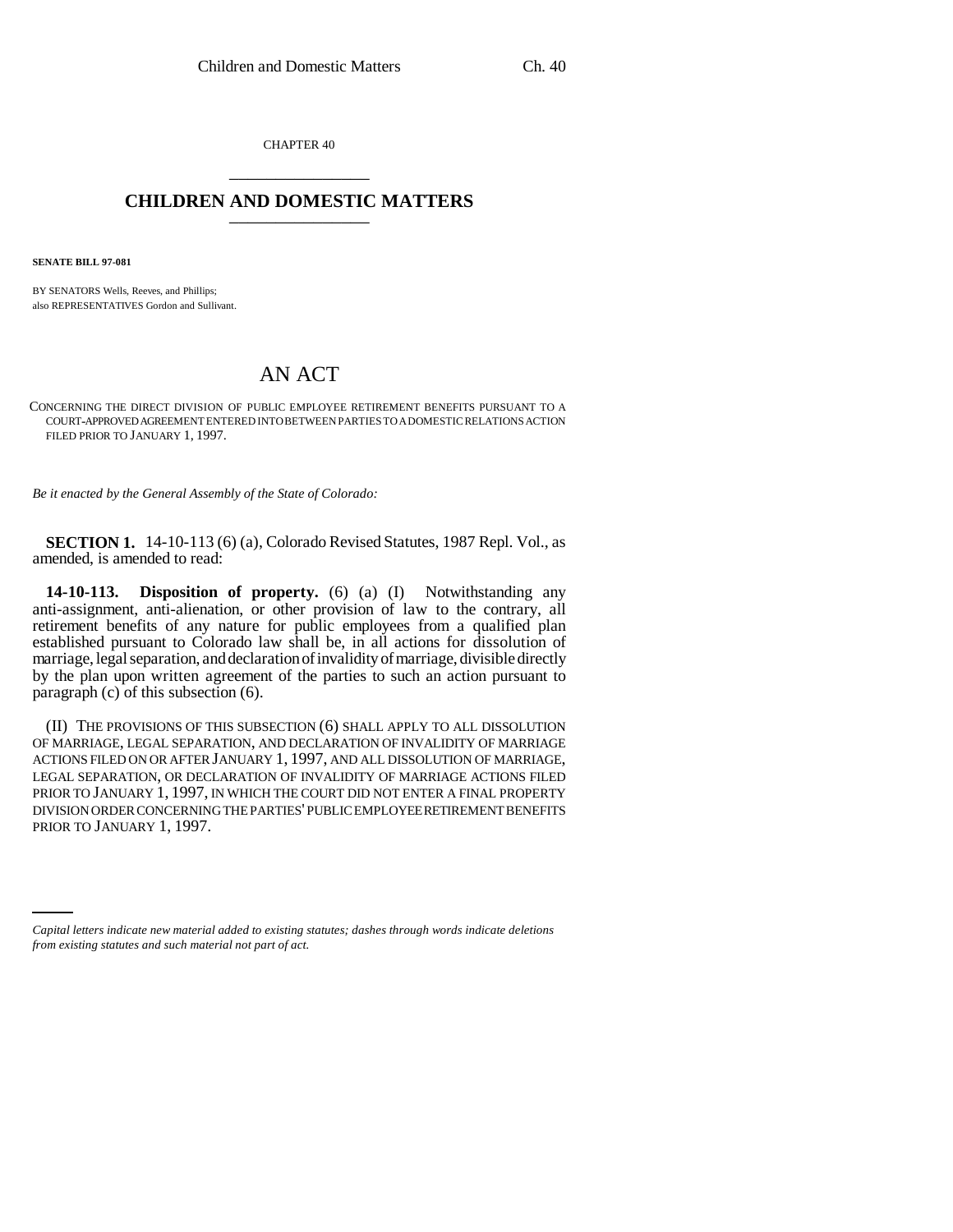CHAPTER 40 \_\_\_\_\_\_\_\_\_\_\_\_\_\_\_

## **CHILDREN AND DOMESTIC MATTERS** \_\_\_\_\_\_\_\_\_\_\_\_\_\_\_

**SENATE BILL 97-081**

BY SENATORS Wells, Reeves, and Phillips; also REPRESENTATIVES Gordon and Sullivant.

## AN ACT

CONCERNING THE DIRECT DIVISION OF PUBLIC EMPLOYEE RETIREMENT BENEFITS PURSUANT TO A COURT-APPROVED AGREEMENT ENTERED INTO BETWEEN PARTIES TO A DOMESTIC RELATIONS ACTION FILED PRIOR TO JANUARY 1, 1997.

*Be it enacted by the General Assembly of the State of Colorado:*

**SECTION 1.** 14-10-113 (6) (a), Colorado Revised Statutes, 1987 Repl. Vol., as amended, is amended to read:

**14-10-113. Disposition of property.** (6) (a) (I) Notwithstanding any anti-assignment, anti-alienation, or other provision of law to the contrary, all retirement benefits of any nature for public employees from a qualified plan established pursuant to Colorado law shall be, in all actions for dissolution of marriage, legal separation, and declaration of invalidity of marriage, divisible directly by the plan upon written agreement of the parties to such an action pursuant to paragraph (c) of this subsection (6).

PRIOR TO JANUARY 1, 1997.(II) THE PROVISIONS OF THIS SUBSECTION (6) SHALL APPLY TO ALL DISSOLUTION OF MARRIAGE, LEGAL SEPARATION, AND DECLARATION OF INVALIDITY OF MARRIAGE ACTIONS FILED ON OR AFTER JANUARY 1, 1997, AND ALL DISSOLUTION OF MARRIAGE, LEGAL SEPARATION, OR DECLARATION OF INVALIDITY OF MARRIAGE ACTIONS FILED PRIOR TO JANUARY 1, 1997, IN WHICH THE COURT DID NOT ENTER A FINAL PROPERTY DIVISION ORDER CONCERNING THE PARTIES' PUBLIC EMPLOYEE RETIREMENT BENEFITS

*Capital letters indicate new material added to existing statutes; dashes through words indicate deletions from existing statutes and such material not part of act.*